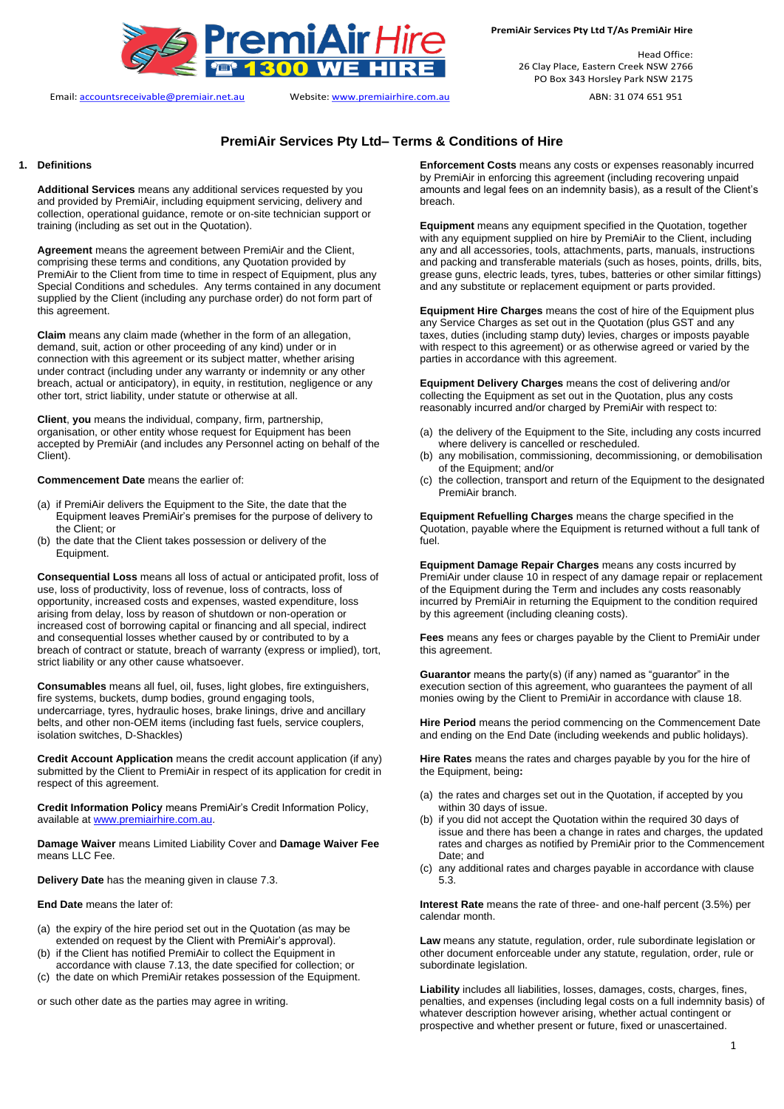

Email: accountsreceivable@premiair.net.au Website: www.premiairhire.com.au ABN: 31 074 651 951

Head Office: 26 Clay Place, Eastern Creek NSW 2766 PO Box 343 Horsley Park NSW 2175

## **PremiAir Services Pty Ltd– Terms & Conditions of Hire**

#### **1. Definitions**

**Additional Services** means any additional services requested by you and provided by PremiAir, including equipment servicing, delivery and collection, operational guidance, remote or on-site technician support or training (including as set out in the Quotation).

**Agreement** means the agreement between PremiAir and the Client, comprising these terms and conditions, any Quotation provided by PremiAir to the Client from time to time in respect of Equipment, plus any Special Conditions and schedules. Any terms contained in any document supplied by the Client (including any purchase order) do not form part of this agreement.

**Claim** means any claim made (whether in the form of an allegation, demand, suit, action or other proceeding of any kind) under or in connection with this agreement or its subject matter, whether arising under contract (including under any warranty or indemnity or any other breach, actual or anticipatory), in equity, in restitution, negligence or any other tort, strict liability, under statute or otherwise at all.

**Client**, **you** means the individual, company, firm, partnership, organisation, or other entity whose request for Equipment has been accepted by PremiAir (and includes any Personnel acting on behalf of the Client).

#### **Commencement Date** means the earlier of:

- (a) if PremiAir delivers the Equipment to the Site, the date that the Equipment leaves PremiAir's premises for the purpose of delivery to the Client; or
- (b) the date that the Client takes possession or delivery of the Equipment.

**Consequential Loss** means all loss of actual or anticipated profit, loss of use, loss of productivity, loss of revenue, loss of contracts, loss of opportunity, increased costs and expenses, wasted expenditure, loss arising from delay, loss by reason of shutdown or non-operation or increased cost of borrowing capital or financing and all special, indirect and consequential losses whether caused by or contributed to by a breach of contract or statute, breach of warranty (express or implied), tort, strict liability or any other cause whatsoever.

**Consumables** means all fuel, oil, fuses, light globes, fire extinguishers, fire systems, buckets, dump bodies, ground engaging tools, undercarriage, tyres, hydraulic hoses, brake linings, drive and ancillary belts, and other non-OEM items (including fast fuels, service couplers, isolation switches, D-Shackles)

**Credit Account Application** means the credit account application (if any) submitted by the Client to PremiAir in respect of its application for credit in respect of this agreement.

**Credit Information Policy** means PremiAir's Credit Information Policy, available at [www.premiairhire.com.au.](http://www.premiairhire.com.au/) 

**Damage Waiver** means Limited Liability Cover and **Damage Waiver Fee** means LLC Fee.

**Delivery Date** has the meaning given in clause [7.3.](#page-2-0)

**End Date** means the later of:

- (a) the expiry of the hire period set out in the Quotation (as may be extended on request by the Client with PremiAir's approval).
- if the Client has notified PremiAir to collect the Equipment in accordance with clause [7.13,](#page-2-1) the date specified for collection; or
- (c) the date on which PremiAir retakes possession of the Equipment.

or such other date as the parties may agree in writing.

**Enforcement Costs** means any costs or expenses reasonably incurred by PremiAir in enforcing this agreement (including recovering unpaid amounts and legal fees on an indemnity basis), as a result of the Client's breach.

**Equipment** means any equipment specified in the Quotation, together with any equipment supplied on hire by PremiAir to the Client, including any and all accessories, tools, attachments, parts, manuals, instructions and packing and transferable materials (such as hoses, points, drills, bits, grease guns, electric leads, tyres, tubes, batteries or other similar fittings) and any substitute or replacement equipment or parts provided.

**Equipment Hire Charges** means the cost of hire of the Equipment plus any Service Charges as set out in the Quotation (plus GST and any taxes, duties (including stamp duty) levies, charges or imposts payable with respect to this agreement) or as otherwise agreed or varied by the parties in accordance with this agreement.

**Equipment Delivery Charges** means the cost of delivering and/or collecting the Equipment as set out in the Quotation, plus any costs reasonably incurred and/or charged by PremiAir with respect to:

- (a) the delivery of the Equipment to the Site, including any costs incurred where delivery is cancelled or rescheduled.
- (b) any mobilisation, commissioning, decommissioning, or demobilisation of the Equipment; and/or
- (c) the collection, transport and return of the Equipment to the designated PremiAir branch.

**Equipment Refuelling Charges** means the charge specified in the Quotation, payable where the Equipment is returned without a full tank of fuel.

**Equipment Damage Repair Charges** means any costs incurred by PremiAir under clause [10](#page-3-0) in respect of any damage repair or replacement of the Equipment during the Term and includes any costs reasonably incurred by PremiAir in returning the Equipment to the condition required by this agreement (including cleaning costs).

**Fees** means any fees or charges payable by the Client to PremiAir under this agreement.

**Guarantor** means the party(s) (if any) named as "guarantor" in the execution section of this agreement, who guarantees the payment of all monies owing by the Client to PremiAir in accordance with claus[e 18.](#page-4-0)

**Hire Period** means the period commencing on the Commencement Date and ending on the End Date (including weekends and public holidays).

**Hire Rates** means the rates and charges payable by you for the hire of the Equipment, being**:**

- (a) the rates and charges set out in the Quotation, if accepted by you within 30 days of issue.
- (b) if you did not accept the Quotation within the required 30 days of issue and there has been a change in rates and charges, the updated rates and charges as notified by PremiAir prior to the Commencement Date; and
- (c) any additional rates and charges payable in accordance with clause [5.3.](#page-1-0)

**Interest Rate** means the rate of three- and one-half percent (3.5%) per calendar month.

**Law** means any statute, regulation, order, rule subordinate legislation or other document enforceable under any statute, regulation, order, rule or subordinate legislation.

**Liability** includes all liabilities, losses, damages, costs, charges, fines, penalties, and expenses (including legal costs on a full indemnity basis) of whatever description however arising, whether actual contingent or prospective and whether present or future, fixed or unascertained.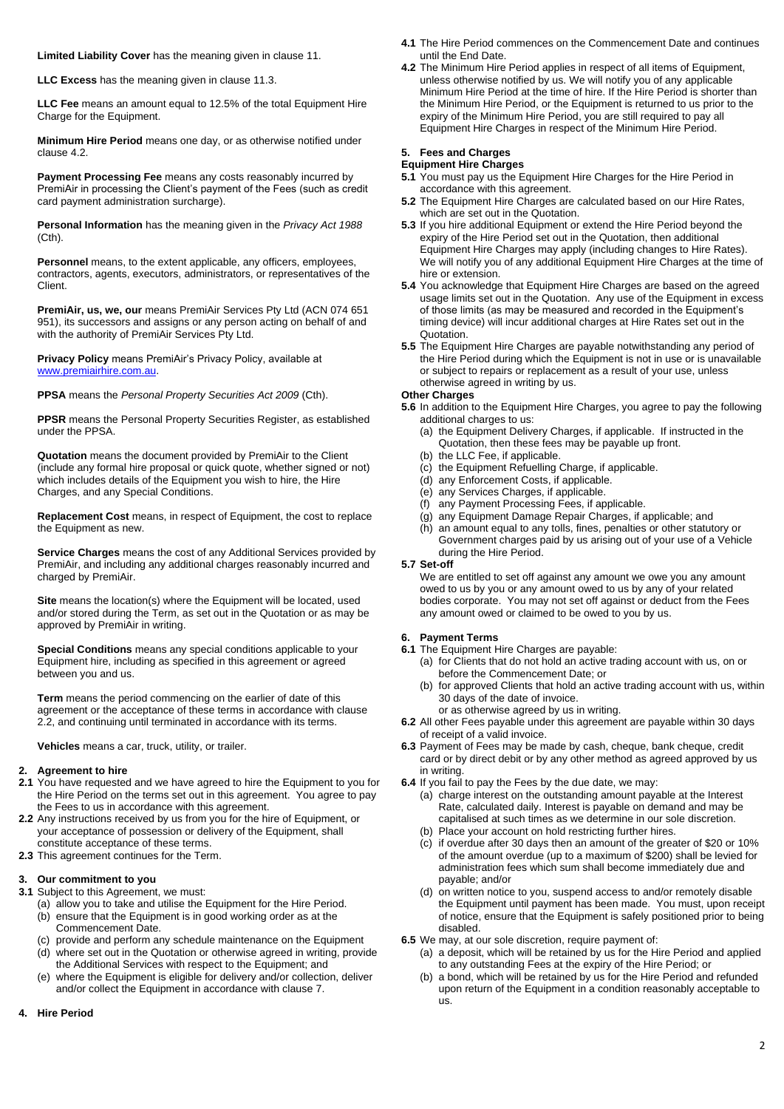**Limited Liability Cover** has the meaning given in clause [11.](#page-3-1)

**LLC Excess** has the meaning given in claus[e 11.3.](#page-3-2)

**LLC Fee** means an amount equal to 12.5% of the total Equipment Hire Charge for the Equipment.

**Minimum Hire Period** means one day, or as otherwise notified under claus[e 4.2.](#page-1-1)

**Payment Processing Fee** means any costs reasonably incurred by PremiAir in processing the Client's payment of the Fees (such as credit card payment administration surcharge).

**Personal Information** has the meaning given in the *Privacy Act 1988* (Cth).

**Personnel** means, to the extent applicable, any officers, employees, contractors, agents, executors, administrators, or representatives of the Client.

**PremiAir, us, we, our** means PremiAir Services Pty Ltd (ACN 074 651 951), its successors and assigns or any person acting on behalf of and with the authority of PremiAir Services Pty Ltd.

**Privacy Policy** means PremiAir's Privacy Policy, available at [www.premiairhire.com.au.](http://www.premiairhire.com.au/) 

**PPSA** means the *Personal Property Securities Act 2009* (Cth).

**PPSR** means the Personal Property Securities Register, as established under the PPSA.

**Quotation** means the document provided by PremiAir to the Client (include any formal hire proposal or quick quote, whether signed or not) which includes details of the Equipment you wish to hire, the Hire Charges, and any Special Conditions.

**Replacement Cost** means, in respect of Equipment, the cost to replace the Equipment as new.

**Service Charges** means the cost of any Additional Services provided by PremiAir, and including any additional charges reasonably incurred and charged by PremiAir.

**Site** means the location(s) where the Equipment will be located, used and/or stored during the Term, as set out in the Quotation or as may be approved by PremiAir in writing.

**Special Conditions** means any special conditions applicable to your Equipment hire, including as specified in this agreement or agreed between you and us.

**Term** means the period commencing on the earlier of date of this agreement or the acceptance of these terms in accordance with clause [2.2,](#page-1-2) and continuing until terminated in accordance with its terms.

**Vehicles** means a car, truck, utility, or trailer.

#### **2. Agreement to hire**

- **2.1** You have requested and we have agreed to hire the Equipment to you for the Hire Period on the terms set out in this agreement. You agree to pay the Fees to us in accordance with this agreement.
- <span id="page-1-2"></span>**2.2** Any instructions received by us from you for the hire of Equipment, or your acceptance of possession or delivery of the Equipment, shall constitute acceptance of these terms.
- **2.3** This agreement continues for the Term.

#### **3. Our commitment to you**

- **3.1** Subject to this Agreement, we must:
	- (a) allow you to take and utilise the Equipment for the Hire Period. (b) ensure that the Equipment is in good working order as at the Commencement Date.
	- (c) provide and perform any schedule maintenance on the Equipment (d) where set out in the Quotation or otherwise agreed in writing, provide
	- the Additional Services with respect to the Equipment; and (e) where the Equipment is eligible for delivery and/or collection, deliver
	- and/or collect the Equipment in accordance with clause [7.](#page-2-2)

### **4. Hire Period**

- **4.1** The Hire Period commences on the Commencement Date and continues until the End Date.
- <span id="page-1-1"></span>**4.2** The Minimum Hire Period applies in respect of all items of Equipment, unless otherwise notified by us. We will notify you of any applicable Minimum Hire Period at the time of hire. If the Hire Period is shorter than the Minimum Hire Period, or the Equipment is returned to us prior to the expiry of the Minimum Hire Period, you are still required to pay all Equipment Hire Charges in respect of the Minimum Hire Period.

## <span id="page-1-4"></span>**5. Fees and Charges**

- **Equipment Hire Charges 5.1** You must pay us the Equipment Hire Charges for the Hire Period in accordance with this agreement.
- **5.2** The Equipment Hire Charges are calculated based on our Hire Rates, which are set out in the Quotation.
- <span id="page-1-0"></span>**5.3** If you hire additional Equipment or extend the Hire Period beyond the expiry of the Hire Period set out in the Quotation, then additional Equipment Hire Charges may apply (including changes to Hire Rates). We will notify you of any additional Equipment Hire Charges at the time of hire or extension.
- **5.4** You acknowledge that Equipment Hire Charges are based on the agreed usage limits set out in the Quotation. Any use of the Equipment in excess of those limits (as may be measured and recorded in the Equipment's timing device) will incur additional charges at Hire Rates set out in the Quotation.
- **5.5** The Equipment Hire Charges are payable notwithstanding any period of the Hire Period during which the Equipment is not in use or is unavailable or subject to repairs or replacement as a result of your use, unless otherwise agreed in writing by us.

## **Other Charges**

**5.6** In addition to the Equipment Hire Charges, you agree to pay the following additional charges to us:

- (a) the Equipment Delivery Charges, if applicable. If instructed in the Quotation, then these fees may be payable up front.
- (b) the LLC Fee, if applicable.
- (c) the Equipment Refuelling Charge, if applicable.
- (d) any Enforcement Costs, if applicable.
- (e) any Services Charges, if applicable.
- (f) any Payment Processing Fees, if applicable.
- (g) any Equipment Damage Repair Charges, if applicable; and
- (h) an amount equal to any tolls, fines, penalties or other statutory or Government charges paid by us arising out of your use of a Vehicle during the Hire Period.

#### **5.7 Set-off**

We are entitled to set off against any amount we owe you any amount owed to us by you or any amount owed to us by any of your related bodies corporate. You may not set off against or deduct from the Fees any amount owed or claimed to be owed to you by us.

## <span id="page-1-3"></span>**6. Payment Terms**

- **6.1** The Equipment Hire Charges are payable:
	- (a) for Clients that do not hold an active trading account with us, on or before the Commencement Date; or
	- (b) for approved Clients that hold an active trading account with us, within 30 days of the date of invoice.
	- or as otherwise agreed by us in writing.
- **6.2** All other Fees payable under this agreement are payable within 30 days of receipt of a valid invoice.
- **6.3** Payment of Fees may be made by cash, cheque, bank cheque, credit card or by direct debit or by any other method as agreed approved by us in writing.
- **6.4** If you fail to pay the Fees by the due date, we may:
	- (a) charge interest on the outstanding amount payable at the Interest Rate, calculated daily. Interest is payable on demand and may be capitalised at such times as we determine in our sole discretion.
	- (b) Place your account on hold restricting further hires.
	- (c) if overdue after 30 days then an amount of the greater of \$20 or 10% of the amount overdue (up to a maximum of \$200) shall be levied for administration fees which sum shall become immediately due and payable; and/or
	- (d) on written notice to you, suspend access to and/or remotely disable the Equipment until payment has been made. You must, upon receipt of notice, ensure that the Equipment is safely positioned prior to being disabled.
- **6.5** We may, at our sole discretion, require payment of:
	- (a) a deposit, which will be retained by us for the Hire Period and applied to any outstanding Fees at the expiry of the Hire Period; or
	- (b) a bond, which will be retained by us for the Hire Period and refunded upon return of the Equipment in a condition reasonably acceptable to us.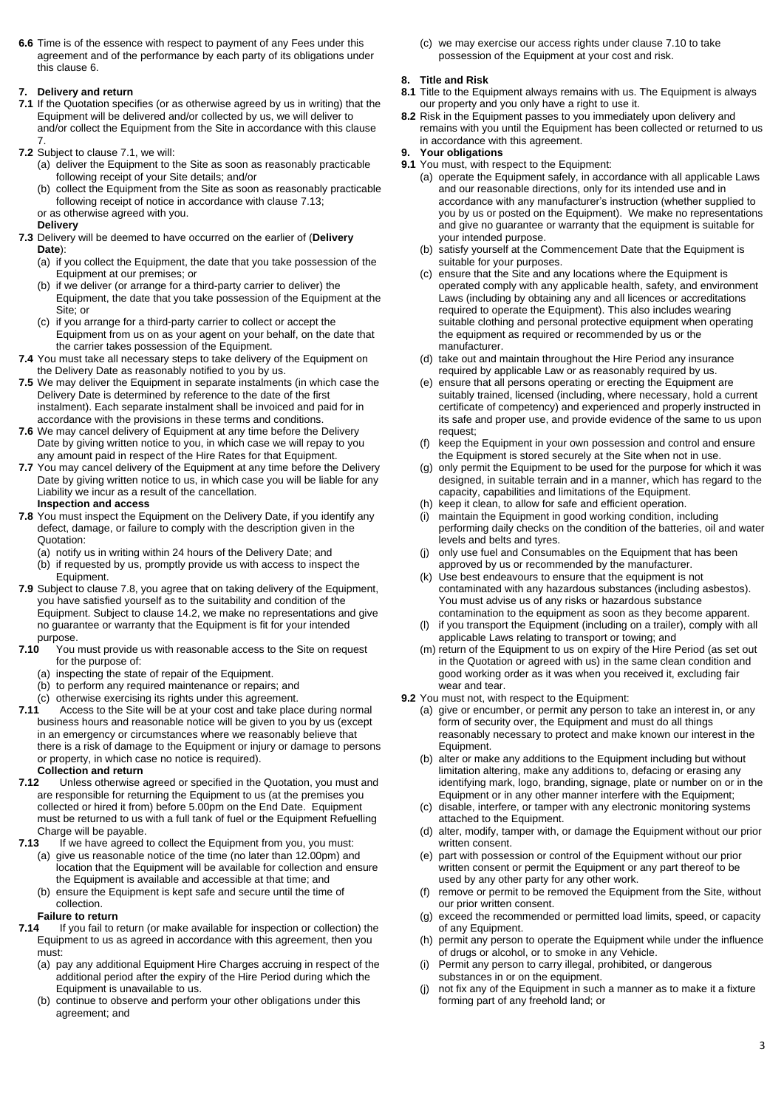**6.6** Time is of the essence with respect to payment of any Fees under this agreement and of the performance by each party of its obligations under this claus[e 6.](#page-1-3)

## <span id="page-2-2"></span>**7. Delivery and return**

- <span id="page-2-3"></span>**7.1** If the Quotation specifies (or as otherwise agreed by us in writing) that the Equipment will be delivered and/or collected by us, we will deliver to and/or collect the Equipment from the Site in accordance with this clause
- [7.](#page-2-2) **7.2** Subject to claus[e 7.1,](#page-2-3) we will:
	- (a) deliver the Equipment to the Site as soon as reasonably practicable following receipt of your Site details; and/or
	- (b) collect the Equipment from the Site as soon as reasonably practicable following receipt of notice in accordance with claus[e 7.13;](#page-2-1) or as otherwise agreed with you.

**Delivery**

- <span id="page-2-0"></span>**7.3** Delivery will be deemed to have occurred on the earlier of (**Delivery Date**):
	- (a) if you collect the Equipment, the date that you take possession of the Equipment at our premises; or
	- (b) if we deliver (or arrange for a third-party carrier to deliver) the Equipment, the date that you take possession of the Equipment at the Site: or
	- (c) if you arrange for a third-party carrier to collect or accept the Equipment from us on as your agent on your behalf, on the date that the carrier takes possession of the Equipment.
- **7.4** You must take all necessary steps to take delivery of the Equipment on the Delivery Date as reasonably notified to you by us.
- **7.5** We may deliver the Equipment in separate instalments (in which case the Delivery Date is determined by reference to the date of the first instalment). Each separate instalment shall be invoiced and paid for in accordance with the provisions in these terms and conditions.
- **7.6** We may cancel delivery of Equipment at any time before the Delivery Date by giving written notice to you, in which case we will repay to you any amount paid in respect of the Hire Rates for that Equipment.
- **7.7** You may cancel delivery of the Equipment at any time before the Delivery Date by giving written notice to us, in which case you will be liable for any Liability we incur as a result of the cancellation. **Inspection and access**
- <span id="page-2-4"></span>**7.8** You must inspect the Equipment on the Delivery Date, if you identify any defect, damage, or failure to comply with the description given in the Quotation:
	- (a) notify us in writing within 24 hours of the Delivery Date; and
	- (b) if requested by us, promptly provide us with access to inspect the Equipment.
- **7.9** Subject to claus[e 7.8,](#page-2-4) you agree that on taking delivery of the Equipment, you have satisfied yourself as to the suitability and condition of the Equipment. Subject to claus[e 14.2,](#page-4-1) we make no representations and give no guarantee or warranty that the Equipment is fit for your intended purpose.<br>T.10 You
	- You must provide us with reasonable access to the Site on request for the purpose of:
		- (a) inspecting the state of repair of the Equipment.
	- (b) to perform any required maintenance or repairs; and
	- (c) otherwise exercising its rights under this agreement.
- <span id="page-2-5"></span>**7.11** Access to the Site will be at your cost and take place during normal business hours and reasonable notice will be given to you by us (except in an emergency or circumstances where we reasonably believe that there is a risk of damage to the Equipment or injury or damage to persons or property, in which case no notice is required).

# **Collection and return**<br>**7.12** Unless otherwise

- **7.12** Unless otherwise agreed or specified in the Quotation, you must and are responsible for returning the Equipment to us (at the premises you collected or hired it from) before 5.00pm on the End Date. Equipment must be returned to us with a full tank of fuel or the Equipment Refuelling Charge will be payable.<br>**7.13** If we have agreed
- <span id="page-2-1"></span>If we have agreed to collect the Equipment from you, you must:
	- (a) give us reasonable notice of the time (no later than 12.00pm) and location that the Equipment will be available for collection and ensure the Equipment is available and accessible at that time; and
	- (b) ensure the Equipment is kept safe and secure until the time of collection.

# **Failure to return**

- <span id="page-2-7"></span>**7.14** If you fail to return (or make available for inspection or collection) the Equipment to us as agreed in accordance with this agreement, then you must:
	- (a) pay any additional Equipment Hire Charges accruing in respect of the additional period after the expiry of the Hire Period during which the Equipment is unavailable to us.
	- (b) continue to observe and perform your other obligations under this agreement; and

(c) we may exercise our access rights under claus[e 7.10](#page-2-5) to take possession of the Equipment at your cost and risk.

## **8. Title and Risk**

- **8.1** Title to the Equipment always remains with us. The Equipment is always our property and you only have a right to use it.
- **8.2** Risk in the Equipment passes to you immediately upon delivery and remains with you until the Equipment has been collected or returned to us in accordance with this agreement.

## <span id="page-2-6"></span>**9. Your obligations**

- **9.1** You must, with respect to the Equipment:
	- (a) operate the Equipment safely, in accordance with all applicable Laws and our reasonable directions, only for its intended use and in accordance with any manufacturer's instruction (whether supplied to you by us or posted on the Equipment). We make no representations and give no guarantee or warranty that the equipment is suitable for your intended purpose.
	- (b) satisfy yourself at the Commencement Date that the Equipment is suitable for your purposes.
	- (c) ensure that the Site and any locations where the Equipment is operated comply with any applicable health, safety, and environment Laws (including by obtaining any and all licences or accreditations required to operate the Equipment). This also includes wearing suitable clothing and personal protective equipment when operating the equipment as required or recommended by us or the manufacturer.
	- (d) take out and maintain throughout the Hire Period any insurance required by applicable Law or as reasonably required by us.
	- (e) ensure that all persons operating or erecting the Equipment are suitably trained, licensed (including, where necessary, hold a current certificate of competency) and experienced and properly instructed in its safe and proper use, and provide evidence of the same to us upon request;
	- (f) keep the Equipment in your own possession and control and ensure the Equipment is stored securely at the Site when not in use.
	- (g) only permit the Equipment to be used for the purpose for which it was designed, in suitable terrain and in a manner, which has regard to the capacity, capabilities and limitations of the Equipment.
	- (h) keep it clean, to allow for safe and efficient operation.
	- (i) maintain the Equipment in good working condition, including performing daily checks on the condition of the batteries, oil and water levels and belts and tyres.
	- (j) only use fuel and Consumables on the Equipment that has been approved by us or recommended by the manufacturer.
	- (k) Use best endeavours to ensure that the equipment is not contaminated with any hazardous substances (including asbestos). You must advise us of any risks or hazardous substance contamination to the equipment as soon as they become apparent.
	- if you transport the Equipment (including on a trailer), comply with all applicable Laws relating to transport or towing; and
	- (m) return of the Equipment to us on expiry of the Hire Period (as set out in the Quotation or agreed with us) in the same clean condition and good working order as it was when you received it, excluding fair wear and tear.
- **9.2** You must not, with respect to the Equipment:
	- (a) give or encumber, or permit any person to take an interest in, or any form of security over, the Equipment and must do all things reasonably necessary to protect and make known our interest in the Equipment.
	- (b) alter or make any additions to the Equipment including but without limitation altering, make any additions to, defacing or erasing any identifying mark, logo, branding, signage, plate or number on or in the Equipment or in any other manner interfere with the Equipment;
	- (c) disable, interfere, or tamper with any electronic monitoring systems attached to the Equipment.
	- (d) alter, modify, tamper with, or damage the Equipment without our prior written consent.
	- (e) part with possession or control of the Equipment without our prior written consent or permit the Equipment or any part thereof to be used by any other party for any other work.
	- (f) remove or permit to be removed the Equipment from the Site, without our prior written consent.
	- (g) exceed the recommended or permitted load limits, speed, or capacity of any Equipment.
	- (h) permit any person to operate the Equipment while under the influence of drugs or alcohol, or to smoke in any Vehicle.
	- (i) Permit any person to carry illegal, prohibited, or dangerous substances in or on the equipment.
	- (j) not fix any of the Equipment in such a manner as to make it a fixture forming part of any freehold land; or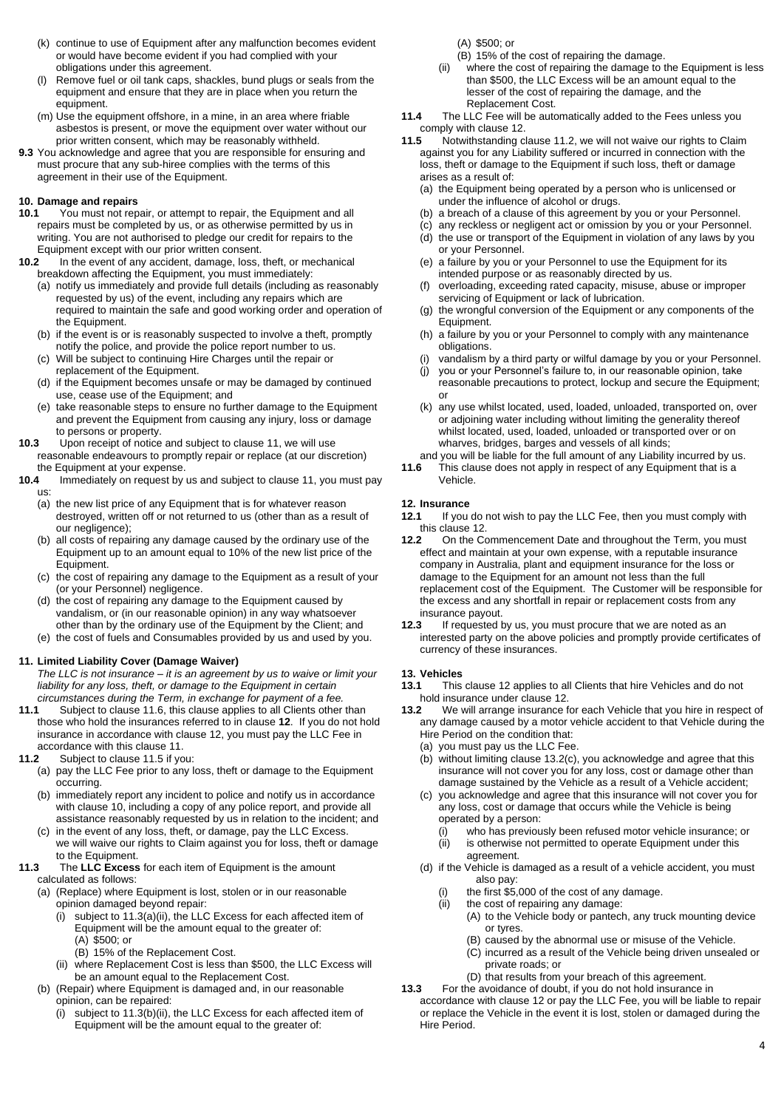- (k) continue to use of Equipment after any malfunction becomes evident or would have become evident if you had complied with your obligations under this agreement.
- (l) Remove fuel or oil tank caps, shackles, bund plugs or seals from the equipment and ensure that they are in place when you return the equipment.
- (m) Use the equipment offshore, in a mine, in an area where friable asbestos is present, or move the equipment over water without our prior written consent, which may be reasonably withheld.
- **9.3** You acknowledge and agree that you are responsible for ensuring and must procure that any sub-hiree complies with the terms of this agreement in their use of the Equipment.

#### <span id="page-3-0"></span>**10. Damage and repairs**

- **10.1** You must not repair, or attempt to repair, the Equipment and all repairs must be completed by us, or as otherwise permitted by us in writing. You are not authorised to pledge our credit for repairs to the
- Equipment except with our prior written consent.<br>**10.2** In the event of any accident, damage, loss, **10.2** In the event of any accident, damage, loss, theft, or mechanical breakdown affecting the Equipment, you must immediately:
	- (a) notify us immediately and provide full details (including as reasonably requested by us) of the event, including any repairs which are required to maintain the safe and good working order and operation of the Equipment.
	- (b) if the event is or is reasonably suspected to involve a theft, promptly notify the police, and provide the police report number to us.
	- (c) Will be subject to continuing Hire Charges until the repair or replacement of the Equipment.
	- (d) if the Equipment becomes unsafe or may be damaged by continued use, cease use of the Equipment; and
	- (e) take reasonable steps to ensure no further damage to the Equipment and prevent the Equipment from causing any injury, loss or damage to persons or property.
- **10.3** Upon receipt of notice and subject to clause [11,](#page-3-1) we will use reasonable endeavours to promptly repair or replace (at our discretion) the Equipment at your expense.
- **10.4** Immediately on request by us and subject to clause 11, you must pay us:
	- (a) the new list price of any Equipment that is for whatever reason destroyed, written off or not returned to us (other than as a result of our negligence);
	- (b) all costs of repairing any damage caused by the ordinary use of the Equipment up to an amount equal to 10% of the new list price of the Equipment.
	- (c) the cost of repairing any damage to the Equipment as a result of your (or your Personnel) negligence.
	- (d) the cost of repairing any damage to the Equipment caused by vandalism, or (in our reasonable opinion) in any way whatsoever other than by the ordinary use of the Equipment by the Client; and
	- (e) the cost of fuels and Consumables provided by us and used by you.

## <span id="page-3-1"></span>**11. Limited Liability Cover (Damage Waiver)**

*The LLC is not insurance – it is an agreement by us to waive or limit your liability for any loss, theft, or damage to the Equipment in certain circumstances during the Term, in exchange for payment of a fee.*

- **11.1** Subject to claus[e 11.6,](#page-3-3) this clause applies to all Clients other than those who hold the insurances referred to in clause **[12](#page-3-4)**. If you do not hold insurance in accordance with clause [12,](#page-3-4) you must pay the LLC Fee in accordance with this claus[e 11.](#page-3-1)
- <span id="page-3-8"></span>**11.2** Subject to claus[e 11.5](#page-3-5) if you:
	- (a) pay the LLC Fee prior to any loss, theft or damage to the Equipment occurring.
	- (b) immediately report any incident to police and notify us in accordance with claus[e 10,](#page-3-0) including a copy of any police report, and provide all assistance reasonably requested by us in relation to the incident; and
	- (c) in the event of any loss, theft, or damage, pay the LLC Excess. we will waive our rights to Claim against you for loss, theft or damage to the Equipment.
- <span id="page-3-6"></span><span id="page-3-2"></span>**11.3** The **LLC Excess** for each item of Equipment is the amount calculated as follows:
	- (a) (Replace) where Equipment is lost, stolen or in our reasonable opinion damaged beyond repair:
		- (i) subject to [11.3\(a\)\(ii\),](#page-3-6) the LLC Excess for each affected item of Equipment will be the amount equal to the greater of: (A) \$500; or
			- (B) 15% of the Replacement Cost.
		- (ii) where Replacement Cost is less than \$500, the LLC Excess will be an amount equal to the Replacement Cost.
	- (b) (Repair) where Equipment is damaged and, in our reasonable opinion, can be repaired:
		- (i) subject to [11.3\(b\)\(ii\),](#page-3-7) the LLC Excess for each affected item of Equipment will be the amount equal to the greater of:
- (A) \$500; or
- <span id="page-3-7"></span>(B) 15% of the cost of repairing the damage.
- (ii) where the cost of repairing the damage to the Equipment is less than \$500, the LLC Excess will be an amount equal to the lesser of the cost of repairing the damage, and the Replacement Cost.
- **11.4** The LLC Fee will be automatically added to the Fees unless you comply with claus[e 12.](#page-3-4)
- <span id="page-3-5"></span>**11.5** Notwithstanding claus[e 11.2,](#page-3-8) we will not waive our rights to Claim against you for any Liability suffered or incurred in connection with the loss, theft or damage to the Equipment if such loss, theft or damage arises as a result of:
	- (a) the Equipment being operated by a person who is unlicensed or under the influence of alcohol or drugs.
	- (b) a breach of a clause of this agreement by you or your Personnel.
	- (c) any reckless or negligent act or omission by you or your Personnel.
	- (d) the use or transport of the Equipment in violation of any laws by you or your Personnel.
	- (e) a failure by you or your Personnel to use the Equipment for its intended purpose or as reasonably directed by us.
	- (f) overloading, exceeding rated capacity, misuse, abuse or improper servicing of Equipment or lack of lubrication.
	- (g) the wrongful conversion of the Equipment or any components of the Equipment.
	- (h) a failure by you or your Personnel to comply with any maintenance obligations.
	- vandalism by a third party or wilful damage by you or your Personnel.
	- (j) you or your Personnel's failure to, in our reasonable opinion, take reasonable precautions to protect, lockup and secure the Equipment; or
	- (k) any use whilst located, used, loaded, unloaded, transported on, over or adjoining water including without limiting the generality thereof whilst located, used, loaded, unloaded or transported over or on wharves, bridges, barges and vessels of all kinds;
- and you will be liable for the full amount of any Liability incurred by us.<br>11.6 This clause does not apply in respect of any Equipment that is a
- <span id="page-3-3"></span>This clause does not apply in respect of any Equipment that is a Vehicle.

## <span id="page-3-4"></span>**12. Insurance**

- **12.1** If you do not wish to pay the LLC Fee, then you must comply with this clause [12.](#page-3-4)
- **12.2** On the Commencement Date and throughout the Term, you must effect and maintain at your own expense, with a reputable insurance company in Australia, plant and equipment insurance for the loss or damage to the Equipment for an amount not less than the full replacement cost of the Equipment. The Customer will be responsible for the excess and any shortfall in repair or replacement costs from any insurance payout.<br>**12.3** If requested b
- **12.3** If requested by us, you must procure that we are noted as an interested party on the above policies and promptly provide certificates of currency of these insurances.

#### **13. Vehicles**

- **13.1** This claus[e 12](#page-3-4) applies to all Clients that hire Vehicles and do not hold insurance under claus[e 12.](#page-3-4)
- <span id="page-3-9"></span>**13.2** We will arrange insurance for each Vehicle that you hire in respect of any damage caused by a motor vehicle accident to that Vehicle during the Hire Period on the condition that:
	- (a) you must pay us the LLC Fee.
	- (b) without limiting clause [13.2\(c\),](#page-3-9) you acknowledge and agree that this insurance will not cover you for any loss, cost or damage other than damage sustained by the Vehicle as a result of a Vehicle accident;
	- (c) you acknowledge and agree that this insurance will not cover you for any loss, cost or damage that occurs while the Vehicle is being operated by a person:
		- (i) who has previously been refused motor vehicle insurance; or (ii) is otherwise not permitted to operate Equipment under this
		- agreement.
	- (d) if the Vehicle is damaged as a result of a vehicle accident, you must also pay:
		- (i) the first \$5,000 of the cost of any damage.
		- (ii) the cost of repairing any damage:
			- (A) to the Vehicle body or pantech, any truck mounting device or tyres.
				- (B) caused by the abnormal use or misuse of the Vehicle.
				- (C) incurred as a result of the Vehicle being driven unsealed or private roads; or
			- (D) that results from your breach of this agreement.
- **13.3** For the avoidance of doubt, if you do not hold insurance in accordance with claus[e 12](#page-3-4) or pay the LLC Fee, you will be liable to repair or replace the Vehicle in the event it is lost, stolen or damaged during the Hire Period.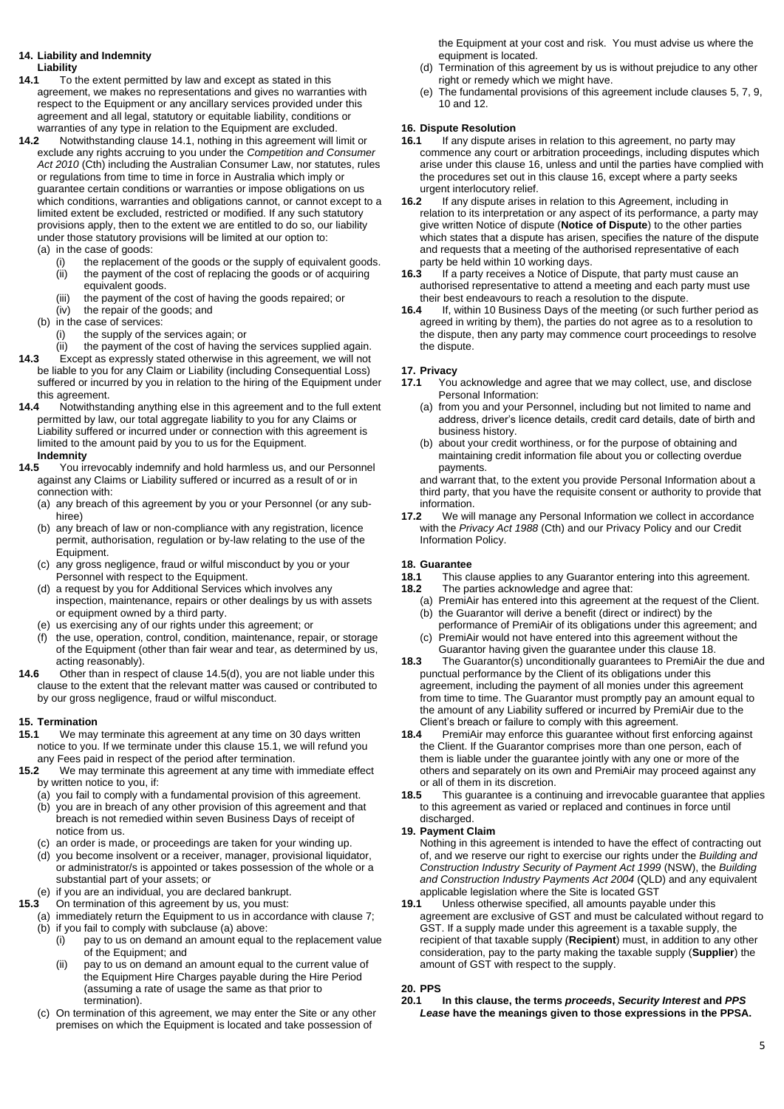# <span id="page-4-7"></span>**14. Liability and Indemnity**

- **Liability**
- <span id="page-4-2"></span>**14.1** To the extent permitted by law and except as stated in this agreement, we makes no representations and gives no warranties with respect to the Equipment or any ancillary services provided under this agreement and all legal, statutory or equitable liability, conditions or warranties of any type in relation to the Equipment are excluded.
- <span id="page-4-1"></span>**14.2** Notwithstanding clause [14.1,](#page-4-2) nothing in this agreement will limit or exclude any rights accruing to you under the *Competition and Consumer Act 2010* (Cth) including the Australian Consumer Law, nor statutes, rules or regulations from time to time in force in Australia which imply or guarantee certain conditions or warranties or impose obligations on us which conditions, warranties and obligations cannot, or cannot except to a limited extent be excluded, restricted or modified. If any such statutory provisions apply, then to the extent we are entitled to do so, our liability under those statutory provisions will be limited at our option to: (a) in the case of goods:
	- (i) the replacement of the goods or the supply of equivalent goods. (ii) the payment of the cost of replacing the goods or of acquiring equivalent goods.
	- (iii) the payment of the cost of having the goods repaired; or
	- (iv) the repair of the goods; and
	- (b) in the case of services:
		- (i) the supply of the services again; or
		- (ii) the payment of the cost of having the services supplied again.
- **14.3** Except as expressly stated otherwise in this agreement, we will not be liable to you for any Claim or Liability (including Consequential Loss) suffered or incurred by you in relation to the hiring of the Equipment under this agreement.
- **14.4** Notwithstanding anything else in this agreement and to the full extent permitted by law, our total aggregate liability to you for any Claims or Liability suffered or incurred under or connection with this agreement is limited to the amount paid by you to us for the Equipment. **Indemnity**<br>14.5 You in

You irrevocably indemnify and hold harmless us, and our Personnel against any Claims or Liability suffered or incurred as a result of or in connection with:

- (a) any breach of this agreement by you or your Personnel (or any subhiree)
- (b) any breach of law or non-compliance with any registration, licence permit, authorisation, regulation or by-law relating to the use of the Equipment.
- (c) any gross negligence, fraud or wilful misconduct by you or your Personnel with respect to the Equipment.
- <span id="page-4-3"></span>(d) a request by you for Additional Services which involves any inspection, maintenance, repairs or other dealings by us with assets or equipment owned by a third party.
- (e) us exercising any of our rights under this agreement; or
- (f) the use, operation, control, condition, maintenance, repair, or storage of the Equipment (other than fair wear and tear, as determined by us, acting reasonably).
- **14.6** Other than in respect of claus[e 14.5\(d\),](#page-4-3) you are not liable under this clause to the extent that the relevant matter was caused or contributed to by our gross negligence, fraud or wilful misconduct.

#### **15. Termination**

- <span id="page-4-4"></span>**15.1** We may terminate this agreement at any time on 30 days written notice to you. If we terminate under this claus[e 15.1,](#page-4-4) we will refund you
- any Fees paid in respect of the period after termination.<br>**15.2** We may terminate this agreement at any time with **15.2** We may terminate this agreement at any time with immediate effect by written notice to you, if:
	- (a) you fail to comply with a fundamental provision of this agreement.
	- (b) you are in breach of any other provision of this agreement and that breach is not remedied within seven Business Days of receipt of notice from us.
	- (c) an order is made, or proceedings are taken for your winding up.
	- (d) you become insolvent or a receiver, manager, provisional liquidator, or administrator/s is appointed or takes possession of the whole or a substantial part of your assets; or
- (e) if you are an individual, you are declared bankrupt.<br>15.3 On termination of this agreement by us you must
- **15.3** On termination of this agreement by us, you must:
- <span id="page-4-5"></span>(a) immediately return the Equipment to us in accordance with clause [7;](#page-2-2) (b) if you fail to comply with subclaus[e \(a\)](#page-4-5) above:
	- (i) pay to us on demand an amount equal to the replacement value of the Equipment; and
	- (ii) pay to us on demand an amount equal to the current value of the Equipment Hire Charges payable during the Hire Period (assuming a rate of usage the same as that prior to termination).
	- (c) On termination of this agreement, we may enter the Site or any other premises on which the Equipment is located and take possession of

the Equipment at your cost and risk. You must advise us where the equipment is located.

- (d) Termination of this agreement by us is without prejudice to any other right or remedy which we might have.
- (e) The fundamental provisions of this agreement include clause[s 5,](#page-1-4) [7,](#page-2-2) [9,](#page-2-6) [10](#page-3-0) and [12.](#page-3-4)

#### <span id="page-4-6"></span>**16. Dispute Resolution**

- **16.1** If any dispute arises in relation to this agreement, no party may commence any court or arbitration proceedings, including disputes which arise under this clause [16,](#page-4-6) unless and until the parties have complied with the procedures set out in this claus[e 16,](#page-4-6) except where a party seeks urgent interlocutory relief.<br>16.2 If any dispute arises
- **16.2** If any dispute arises in relation to this Agreement, including in relation to its interpretation or any aspect of its performance, a party may give written Notice of dispute (**Notice of Dispute**) to the other parties which states that a dispute has arisen, specifies the nature of the dispute and requests that a meeting of the authorised representative of each party be held within 10 working days.
- **16.3** If a party receives a Notice of Dispute, that party must cause an authorised representative to attend a meeting and each party must use their best endeavours to reach a resolution to the dispute.
- **16.4** If, within 10 Business Days of the meeting (or such further period as agreed in writing by them), the parties do not agree as to a resolution to the dispute, then any party may commence court proceedings to resolve the dispute.

## **17. Privacy**

- **17.1** You acknowledge and agree that we may collect, use, and disclose Personal Information:
	- (a) from you and your Personnel, including but not limited to name and address, driver's licence details, credit card details, date of birth and business history.
	- (b) about your credit worthiness, or for the purpose of obtaining and maintaining credit information file about you or collecting overdue payments.

and warrant that, to the extent you provide Personal Information about a third party, that you have the requisite consent or authority to provide that information.

**17.2** We will manage any Personal Information we collect in accordance with the *Privacy Act 1988* (Cth) and our Privacy Policy and our Credit Information Policy.

## <span id="page-4-0"></span>**18. Guarantee**

- **18.1** This clause applies to any Guarantor entering into this agreement.<br>**18.2** The parties acknowledge and agree that:
- The parties acknowledge and agree that:
	- (a) PremiAir has entered into this agreement at the request of the Client. (b) the Guarantor will derive a benefit (direct or indirect) by the
	- performance of PremiAir of its obligations under this agreement; and (c) PremiAir would not have entered into this agreement without the Guarantor having given the guarantee under this clause [18.](#page-4-0)
- **18.3** The Guarantor(s) unconditionally guarantees to PremiAir the due and punctual performance by the Client of its obligations under this agreement, including the payment of all monies under this agreement from time to time. The Guarantor must promptly pay an amount equal to the amount of any Liability suffered or incurred by PremiAir due to the
- Client's breach or failure to comply with this agreement.<br>**18.4** PremiAir may enforce this quarantee without first e **18.4** PremiAir may enforce this guarantee without first enforcing against the Client. If the Guarantor comprises more than one person, each of them is liable under the guarantee jointly with any one or more of the others and separately on its own and PremiAir may proceed against any or all of them in its discretion.
- **18.5** This guarantee is a continuing and irrevocable guarantee that applies to this agreement as varied or replaced and continues in force until discharged.

#### **19. Payment Claim**

Nothing in this agreement is intended to have the effect of contracting out of, and we reserve our right to exercise our rights under the *Building and Construction Industry Security of Payment Act 1999* (NSW), the *Building and Construction Industry Payments Act 2004* (QLD) and any equivalent applicable legislation where the Site is located GST<br>**19.1** Unless otherwise specified all amounts payable

**19.1** Unless otherwise specified, all amounts payable under this agreement are exclusive of GST and must be calculated without regard to GST. If a supply made under this agreement is a taxable supply, the recipient of that taxable supply (**Recipient**) must, in addition to any other consideration, pay to the party making the taxable supply (**Supplier**) the amount of GST with respect to the supply.

# **20. PPS**

**20.1 In this clause, the terms** *proceeds***,** *Security Interest* **and** *PPS Lease* **have the meanings given to those expressions in the PPSA.**